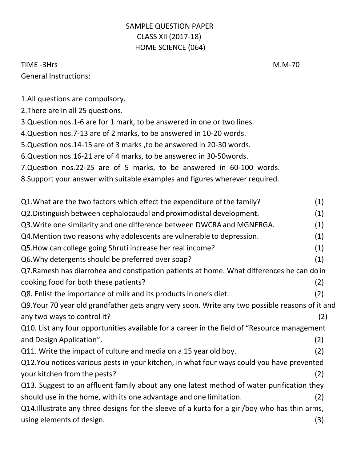## SAMPLE QUESTION PAPER CLASS XII (2017-18) HOME SCIENCE (064)

## TIME -3Hrs M.M-70 General Instructions:

1.All questions are compulsory.

2.There are in all 25 questions.

3.Question nos.1-6 are for 1 mark, to be answered in one or two lines.

4.Question nos.7-13 are of 2 marks, to be answered in 10-20 words.

5.Question nos.14-15 are of 3 marks ,to be answered in 20-30 words.

6.Question nos.16-21 are of 4 marks, to be answered in 30-50words.

7.Question nos.22-25 are of 5 marks, to be answered in 60-100 words.

8.Support your answer with suitable examples and figures wherever required.

Q1.What are the two factors which effect the expenditure ofthe family? (1) Q2.Distinguish between cephalocaudal and proximodistal development. (1) Q3.Write one similarity and one difference between DWCRA and MGNERGA. (1) Q4.Mention two reasons why adolescents are vulnerable to depression. (1) Q5.How can college going Shruti increase herreal income? (1) Q6.Why detergents should be preferred over soap? (1) Q7.Ramesh has diarrohea and constipation patients at home. What differences he can doin cooking food for both these patients? (2) Q8. Enlist the importance of milk and its products in one's diet. (2) Q9.Your 70 year old grandfather gets angry very soon. Write any two possible reasons of it and any two ways to control it? (2) Q10. List any four opportunities available for a career in the field of "Resource management and Design Application". (2) Q11. Write the impact of culture and media on a 15 year old boy. (2) Q12.You notices various pests in your kitchen, in what four ways could you have prevented your kitchen from the pests? (2) Q13. Suggest to an affluent family about any one latest method of water purification they should use in the home, with its one advantage and one limitation. (2) Q14.Illustrate any three designs for the sleeve of a kurta for a girl/boy who has thin arms, using elements of design. (3)